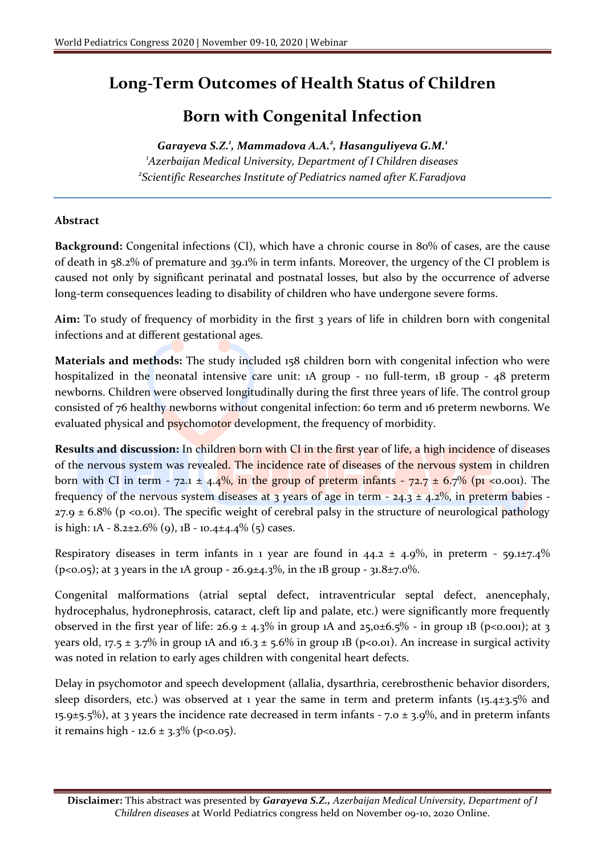## **Long-Term Outcomes of Health Status of Children**

## **Born with Congenital Infection**

## *Garayeva S.Z.<sup>1</sup> , Mammadova A.A.<sup>2</sup> , Hasanguliyeva G.M.<sup>1</sup>*

*<sup>1</sup>Azerbaijan Medical University, Department of I Children diseases 2 Scientific Researches Institute of Pediatrics named after K.Faradjova*

## **Abstract**

**Background:** Congenital infections (CI), which have a chronic course in 80% of cases, are the cause of death in 58.2% of premature and 39.1% in term infants. Moreover, the urgency of the CI problem is caused not only by significant perinatal and postnatal losses, but also by the occurrence of adverse long-term consequences leading to disability of children who have undergone severe forms.

**Aim:** To study of frequency of morbidity in the first 3 years of life in children born with congenital infections and at different gestational ages.

**Materials and methods:** The study included 158 children born with congenital infection who were hospitalized in the neonatal intensive care unit: 1A group - 110 full-term, 1B group - 48 preterm newborns. Children were observed longitudinally during the first three years of life. The control group consisted of 76 healthy newborns without congenital infection: 60 term and 16 preterm newborns. We evaluated physical and **psychomotor** development, the frequency of morbidity.

**Results and discussion:** In children born with CI in the first year of life, a high incidence of diseases of the nervous system was revealed. The incidence rate of diseases of the nervous system in children born with CI in term -  $72.1 \pm 4.4\%$ , in the group of preterm infants -  $72.7 \pm 6.7\%$  (p1 <0.001). The frequency of the nervous system diseases at 3 years of age in term -  $24.3 \pm 4.2\%$ , in preterm babies - $27.9 \pm 6.8\%$  (p <0.01). The specific weight of cerebral palsy in the structure of neurological pathology is high:  $1A - 8.2 \pm 2.6\%$  (9),  $1B - 10.4 \pm 4.4\%$  (5) cases.

Respiratory diseases in term infants in 1 year are found in  $44.2 \pm 4.9\%$ , in preterm - 59.1 $\pm$ 7.4% (p<0.05); at 3 years in the 1A group - 26.9±4.3%, in the 1B group -  $31.8 \pm 7.0$ %.

Congenital malformations (atrial septal defect, intraventricular septal defect, anencephaly, hydrocephalus, hydronephrosis, cataract, cleft lip and palate, etc.) were significantly more frequently observed in the first year of life:  $26.9 \pm 4.3\%$  in group 1A and  $25.0 \pm 6.5\%$  - in group 1B (p<0.001); at 3 years old, 17.5  $\pm$  3.7% in group 1A and 16.3  $\pm$  5.6% in group 1B (p<0.01). An increase in surgical activity was noted in relation to early ages children with congenital heart defects.

Delay in psychomotor and speech development (allalia, dysarthria, cerebrosthenic behavior disorders, sleep disorders, etc.) was observed at 1 year the same in term and preterm infants  $(15.4\pm3.5\%$  and 15.9 $\pm$ 5.5%), at 3 years the incidence rate decreased in term infants - 7.0  $\pm$  3.9%, and in preterm infants it remains high - 12.6 ± 3.3% (p<0.05).